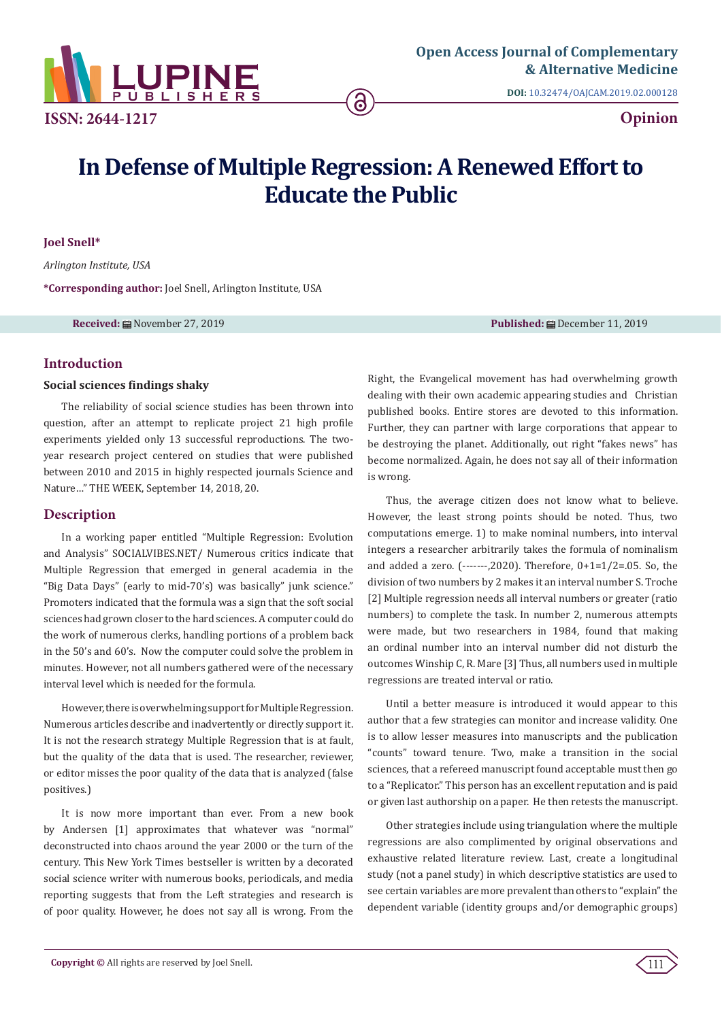

**ISSN: 2644-1217**

**DOI:** [10.32474/OAJCAM.2019.02.000128](http://dx.doi.org/10.32474/OAJCAM.2019.02.000128)

**Opinion**

# **In Defense of Multiple Regression: A Renewed Effort to Educate the Public**

ခ

**Joel Snell\***

*Arlington Institute, USA*

**\*Corresponding author:** Joel Snell, Arlington Institute, USA

**Received:** November 27, 2019 **Published:** December 11, 2019

## **Introduction**

## **Social sciences findings shaky**

The reliability of social science studies has been thrown into question, after an attempt to replicate project 21 high profile experiments yielded only 13 successful reproductions. The twoyear research project centered on studies that were published between 2010 and 2015 in highly respected journals Science and Nature…" THE WEEK, September 14, 2018, 20.

## **Description**

In a working paper entitled "Multiple Regression: Evolution and Analysis" SOCIALVIBES.NET/ Numerous critics indicate that Multiple Regression that emerged in general academia in the "Big Data Days" (early to mid-70's) was basically" junk science." Promoters indicated that the formula was a sign that the soft social sciences had grown closer to the hard sciences. A computer could do the work of numerous clerks, handling portions of a problem back in the 50's and 60's. Now the computer could solve the problem in minutes. However, not all numbers gathered were of the necessary interval level which is needed for the formula.

However, there is overwhelming support for Multiple Regression. Numerous articles describe and inadvertently or directly support it. It is not the research strategy Multiple Regression that is at fault, but the quality of the data that is used. The researcher, reviewer, or editor misses the poor quality of the data that is analyzed (false positives.)

It is now more important than ever. From a new book by Andersen [1] approximates that whatever was "normal" deconstructed into chaos around the year 2000 or the turn of the century. This New York Times bestseller is written by a decorated social science writer with numerous books, periodicals, and media reporting suggests that from the Left strategies and research is of poor quality. However, he does not say all is wrong. From the

Right, the Evangelical movement has had overwhelming growth dealing with their own academic appearing studies and Christian published books. Entire stores are devoted to this information. Further, they can partner with large corporations that appear to be destroying the planet. Additionally, out right "fakes news" has become normalized. Again, he does not say all of their information is wrong.

Thus, the average citizen does not know what to believe. However, the least strong points should be noted. Thus, two computations emerge. 1) to make nominal numbers, into interval integers a researcher arbitrarily takes the formula of nominalism and added a zero. (-------,2020). Therefore, 0+1=1/2=.05. So, the division of two numbers by 2 makes it an interval number S. Troche [2] Multiple regression needs all interval numbers or greater (ratio numbers) to complete the task. In number 2, numerous attempts were made, but two researchers in 1984, found that making an ordinal number into an interval number did not disturb the outcomes Winship C, R. Mare [3] Thus, all numbers used in multiple regressions are treated interval or ratio.

Until a better measure is introduced it would appear to this author that a few strategies can monitor and increase validity. One is to allow lesser measures into manuscripts and the publication "counts" toward tenure. Two, make a transition in the social sciences, that a refereed manuscript found acceptable must then go to a "Replicator." This person has an excellent reputation and is paid or given last authorship on a paper. He then retests the manuscript.

Other strategies include using triangulation where the multiple regressions are also complimented by original observations and exhaustive related literature review. Last, create a longitudinal study (not a panel study) in which descriptive statistics are used to see certain variables are more prevalent than others to "explain" the dependent variable (identity groups and/or demographic groups)